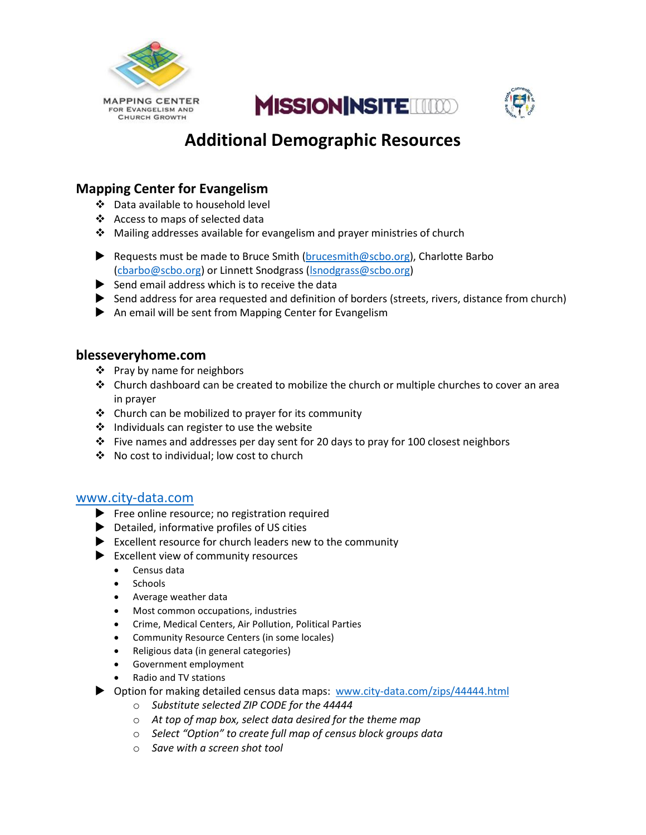





# **Additional Demographic Resources**

## **Mapping Center for Evangelism**

- Data available to household level
- Access to maps of selected data
- $\triangle$  Mailing addresses available for evangelism and prayer ministries of church
- Requests must be made to Bruce Smith [\(brucesmith@scbo.org\)](mailto:brucesmith@scbo.org), Charlotte Barbo [\(cbarbo@scbo.org\)](mailto:cbarbo@scbo.org) or Linnett Snodgrass [\(lsnodgrass@scbo.org\)](mailto:lsnodgrass@scbo.org)
- $\blacktriangleright$  Send email address which is to receive the data
- Send address for area requested and definition of borders (streets, rivers, distance from church)
- An email will be sent from Mapping Center for Evangelism

### **blesseveryhome.com**

- Pray by name for neighbors
- $\div$  Church dashboard can be created to mobilize the church or multiple churches to cover an area in prayer
- \* Church can be mobilized to prayer for its community
- $\div$  Individuals can register to use the website
- Five names and addresses per day sent for 20 days to pray for 100 closest neighbors
- No cost to individual; low cost to church

#### [www.city-data.com](http://www.city-data.com/)

- Free online resource; no registration required
- Detailed, informative profiles of US cities
- $\blacktriangleright$  Excellent resource for church leaders new to the community
- Excellent view of community resources
	- Census data
	- Schools
	- Average weather data
	- Most common occupations, industries
	- Crime, Medical Centers, Air Pollution, Political Parties
	- Community Resource Centers (in some locales)
	- Religious data (in general categories)
	- Government employment
	- Radio and TV stations
- ▶ Option for making detailed census data maps: [www.city-data.com/zips/44444.html](http://www.city-data.com/zips/44444.html)
	- o *Substitute selected ZIP CODE for the 44444*
	- o *At top of map box, select data desired for the theme map*
	- o *Select "Option" to create full map of census block groups data*
	- o *Save with a screen shot tool*